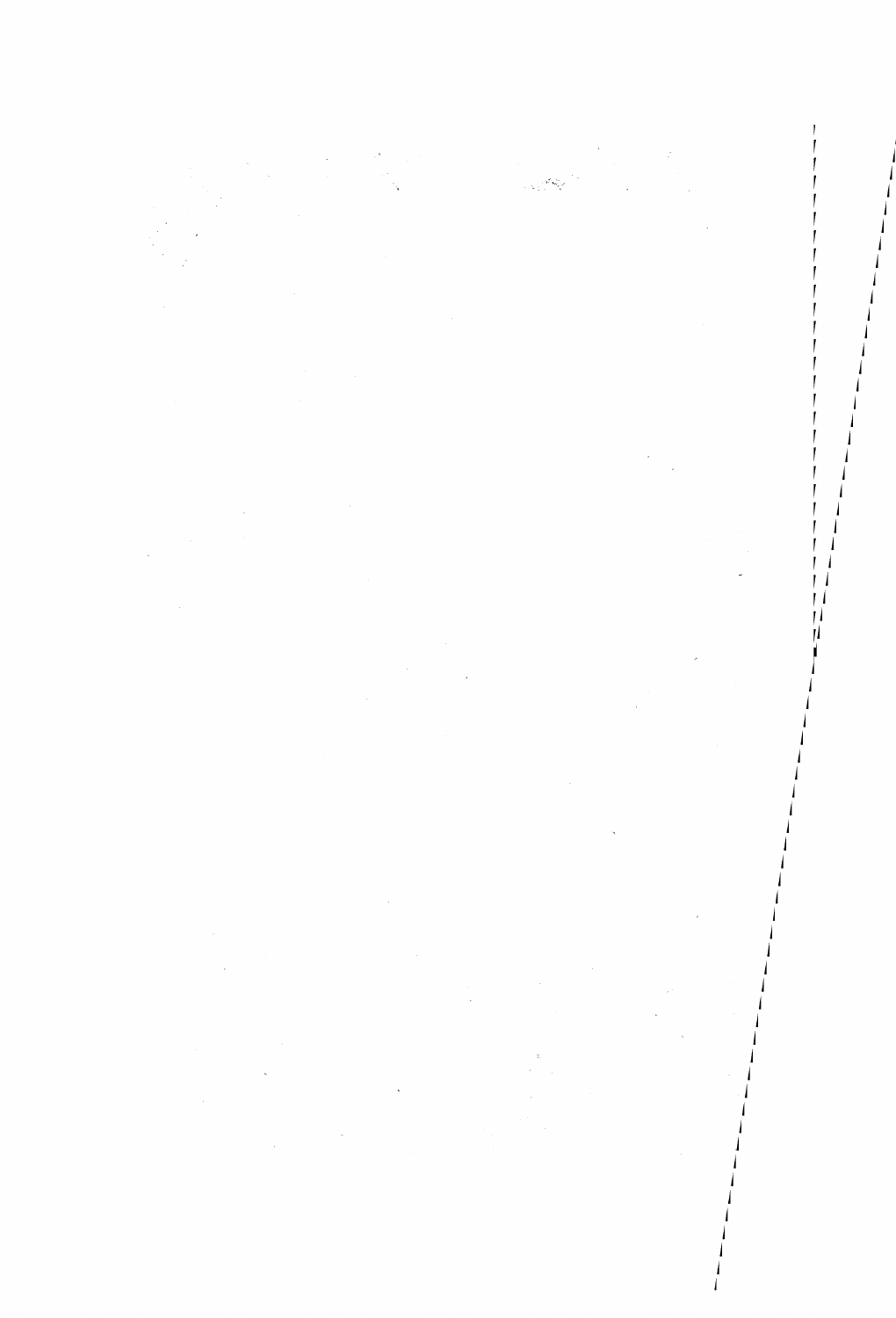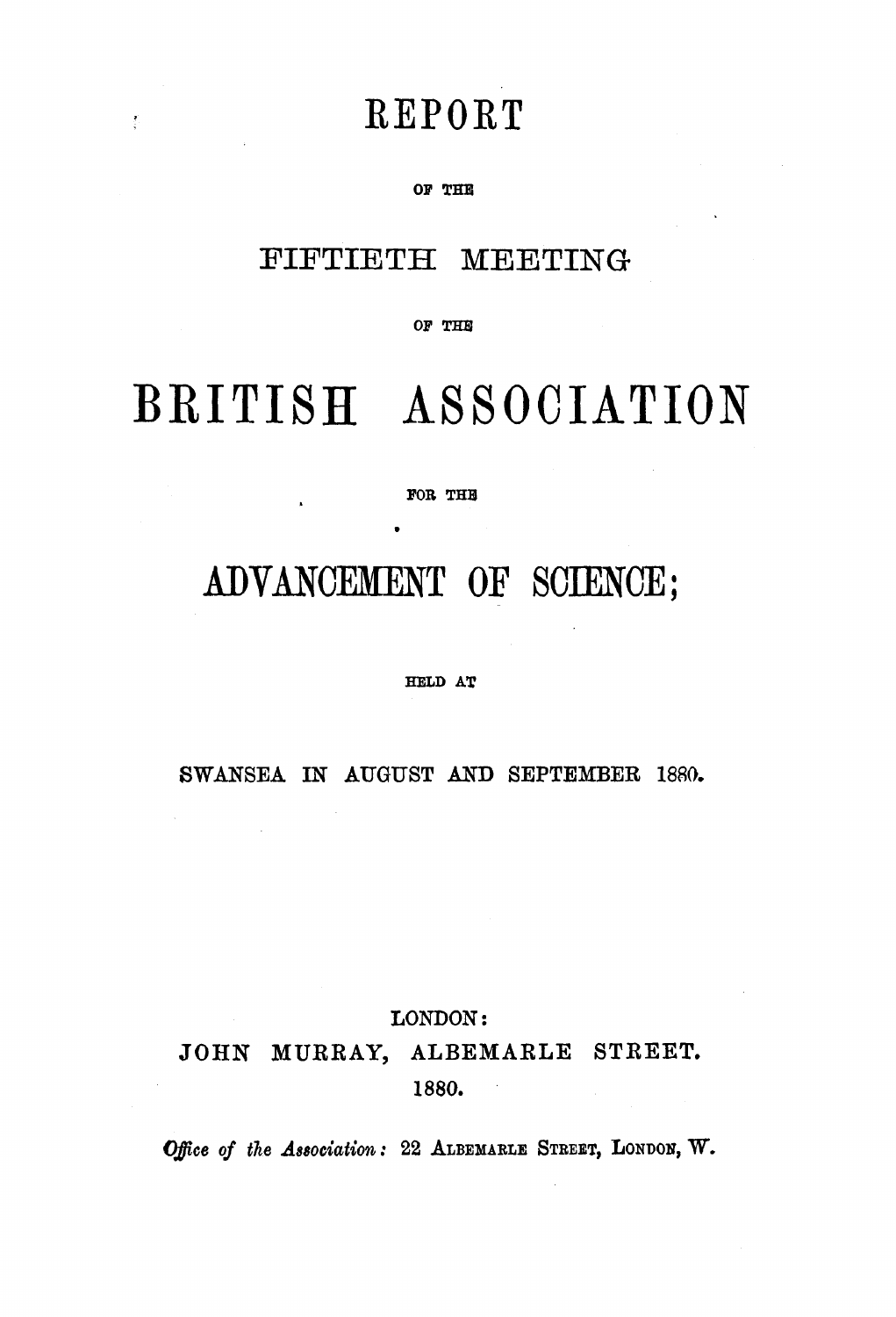# **REPORT**

 $\frac{1}{2}$ 

#### OF THE

### FIFTIETH MEETING

OF THE

# BRITISH ASSOCIATION

FOR THE

# ADVANCEMENT OF SCIENCE;

#### HELD AT

SWANSEA IN AUGUST AND SEPTEMBER 1880.

### LONDON:

JOHN MURRAY, ALBEMARLE STREET. 1880.

Office of the Association: 22 ALBEMARLE STREET, LONDON, W.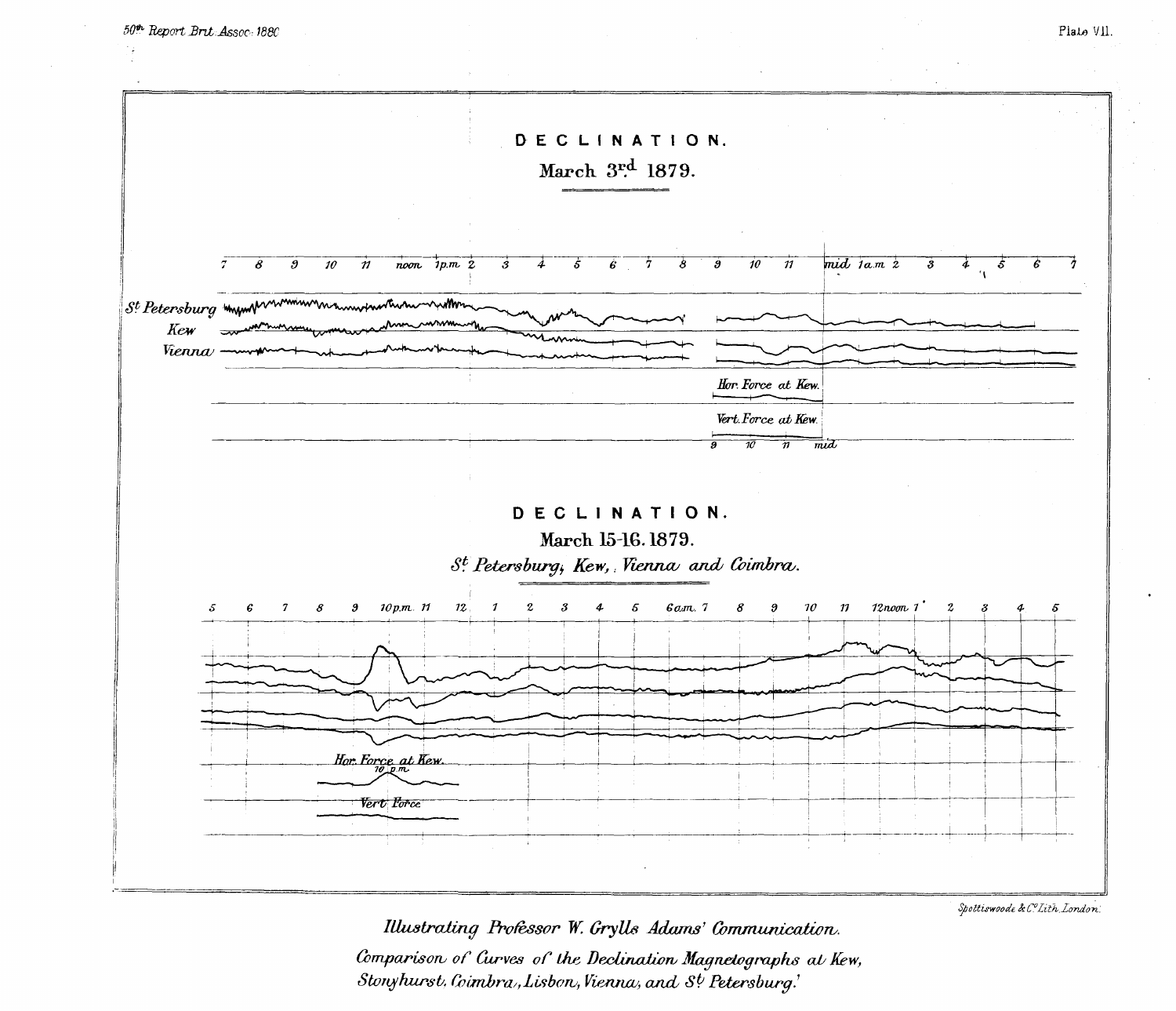



Spottiswoode & C. Lith London.

Illustrating Professor W. Grylls Adams' Communication. Comparison of Curves of the Declination Magnetographs at Kew, Stonyhurst, Coimbra, Lisbon, Vienna, and St Petersburg.'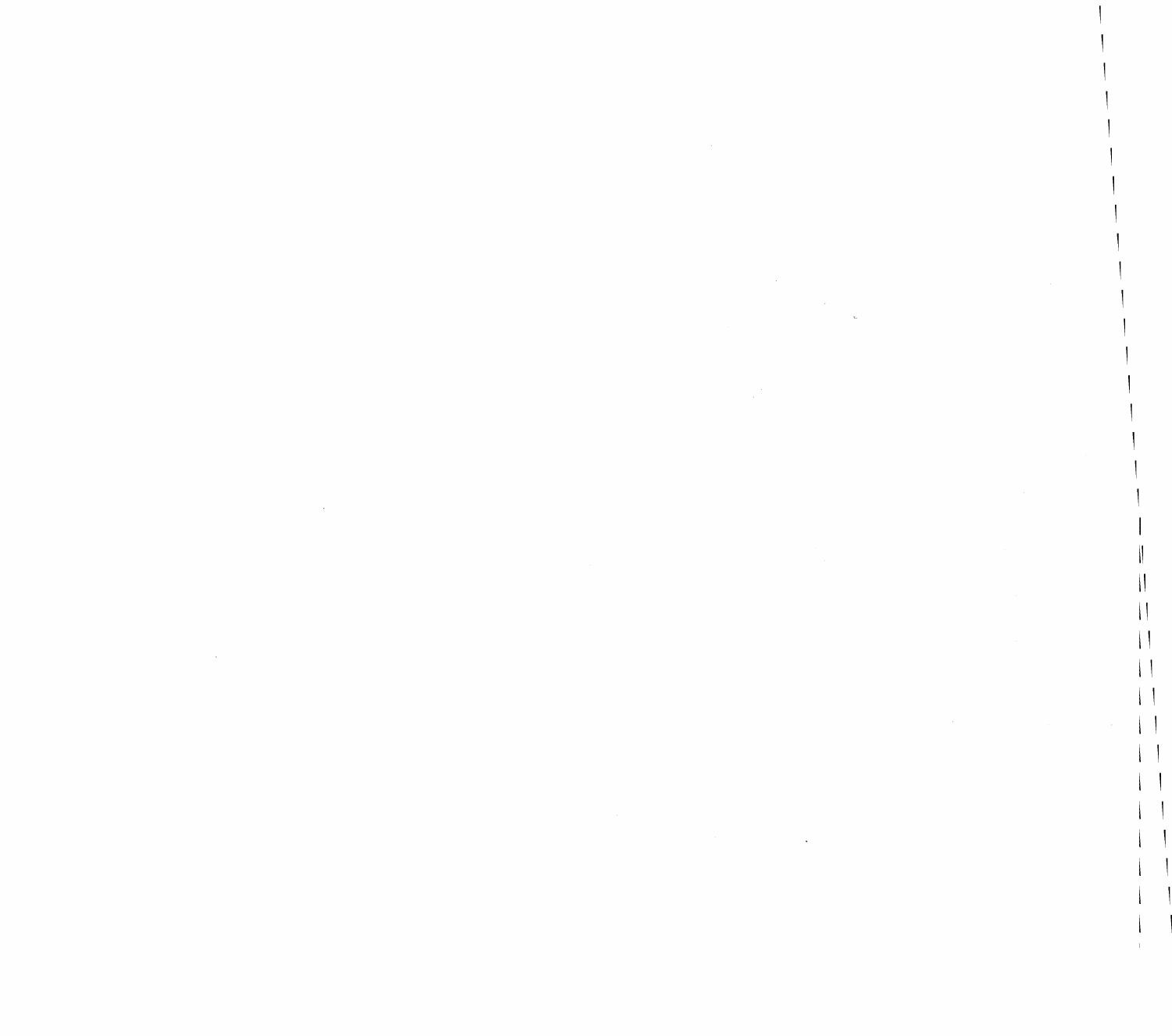$\mathcal{O}(\mathcal{O}_\mathcal{O})$  . The contract of the contract of the contract of the contract of the contract of the contract of the contract of the contract of the contract of the contract of the contract of the contract of the co

 $\label{eq:2.1} \begin{split} \mathcal{L}_{\text{max}}(\mathbf{r}) = \mathcal{L}_{\text{max}}(\mathbf{r}) \mathcal{L}_{\text{max}}(\mathbf{r}) \mathcal{L}_{\text{max}}(\mathbf{r}) \mathcal{L}_{\text{max}}(\mathbf{r}) \mathcal{L}_{\text{max}}(\mathbf{r}) \mathcal{L}_{\text{max}}(\mathbf{r}) \mathcal{L}_{\text{max}}(\mathbf{r}) \mathcal{L}_{\text{max}}(\mathbf{r}) \mathcal{L}_{\text{max}}(\mathbf{r}) \mathcal{L}_{\text{max}}(\mathbf{r}) \mathcal{L}_{\text{max}}(\mathbf{r}) \$ 

 $\mathcal{L}(\mathcal{L}(\mathcal{L}))$  and  $\mathcal{L}(\mathcal{L}(\mathcal{L}))$  . The contribution of  $\mathcal{L}(\mathcal{L})$ 

 $\mathcal{L}(\mathcal{L}(\mathcal{L}(\mathcal{L}(\mathcal{L}(\mathcal{L}(\mathcal{L}(\mathcal{L}(\mathcal{L}(\mathcal{L}(\mathcal{L}(\mathcal{L}(\mathcal{L}(\mathcal{L}(\mathcal{L}(\mathcal{L}(\mathcal{L}(\mathcal{L}(\mathcal{L}(\mathcal{L}(\mathcal{L}(\mathcal{L}(\mathcal{L}(\mathcal{L}(\mathcal{L}(\mathcal{L}(\mathcal{L}(\mathcal{L}(\mathcal{L}(\mathcal{L}(\mathcal{L}(\mathcal{L}(\mathcal{L}(\mathcal{L}(\mathcal{L}(\mathcal{L}(\mathcal{$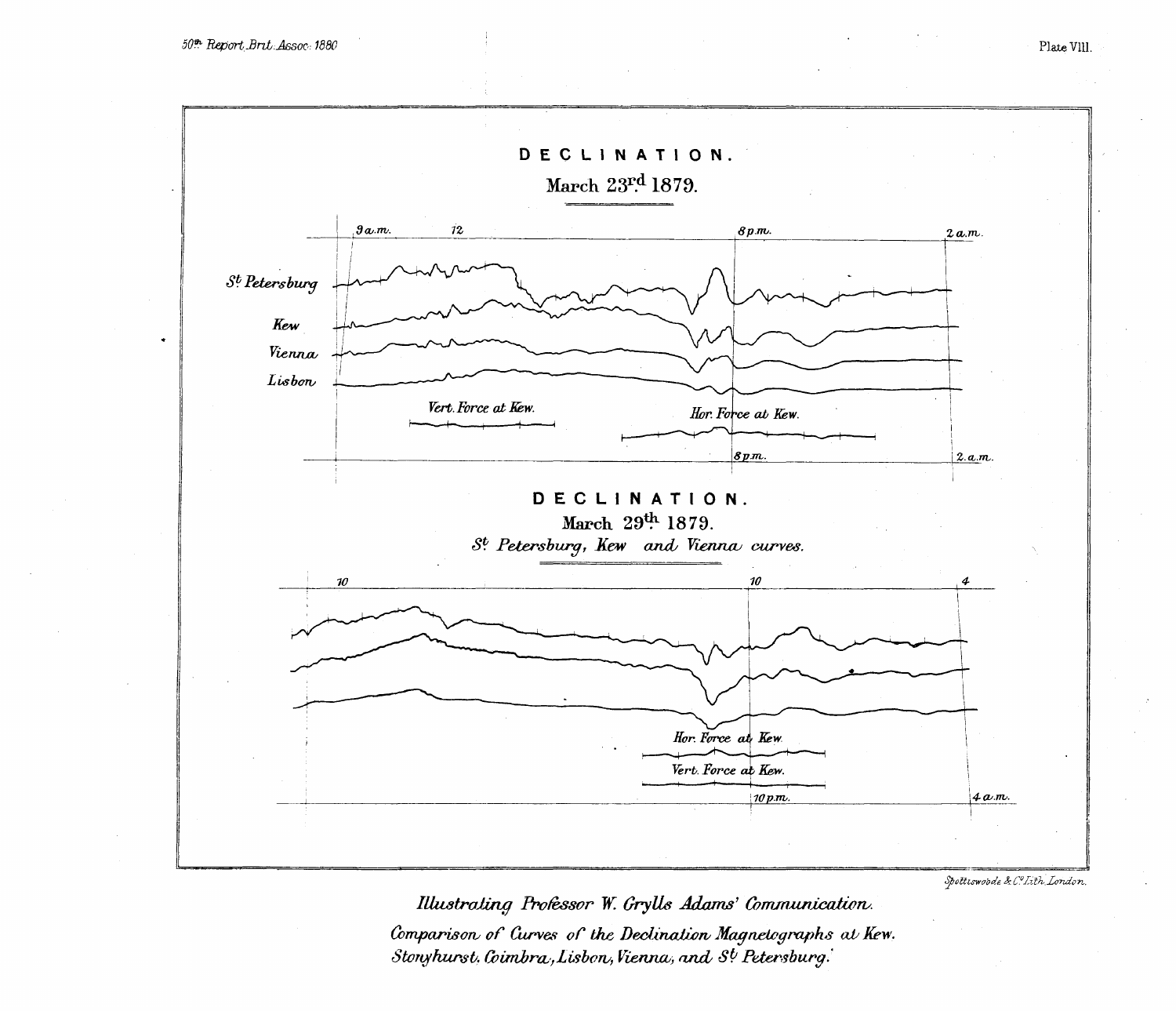

Spottiswoode & C. Lith London.

Illustrating Professor W. Grylls Adams' Communication. Comparison of Curves of the Declination Magnetographs at Kew. Stonyhurst, Coimbra, Lisbon, Vienna, and St Petersburg.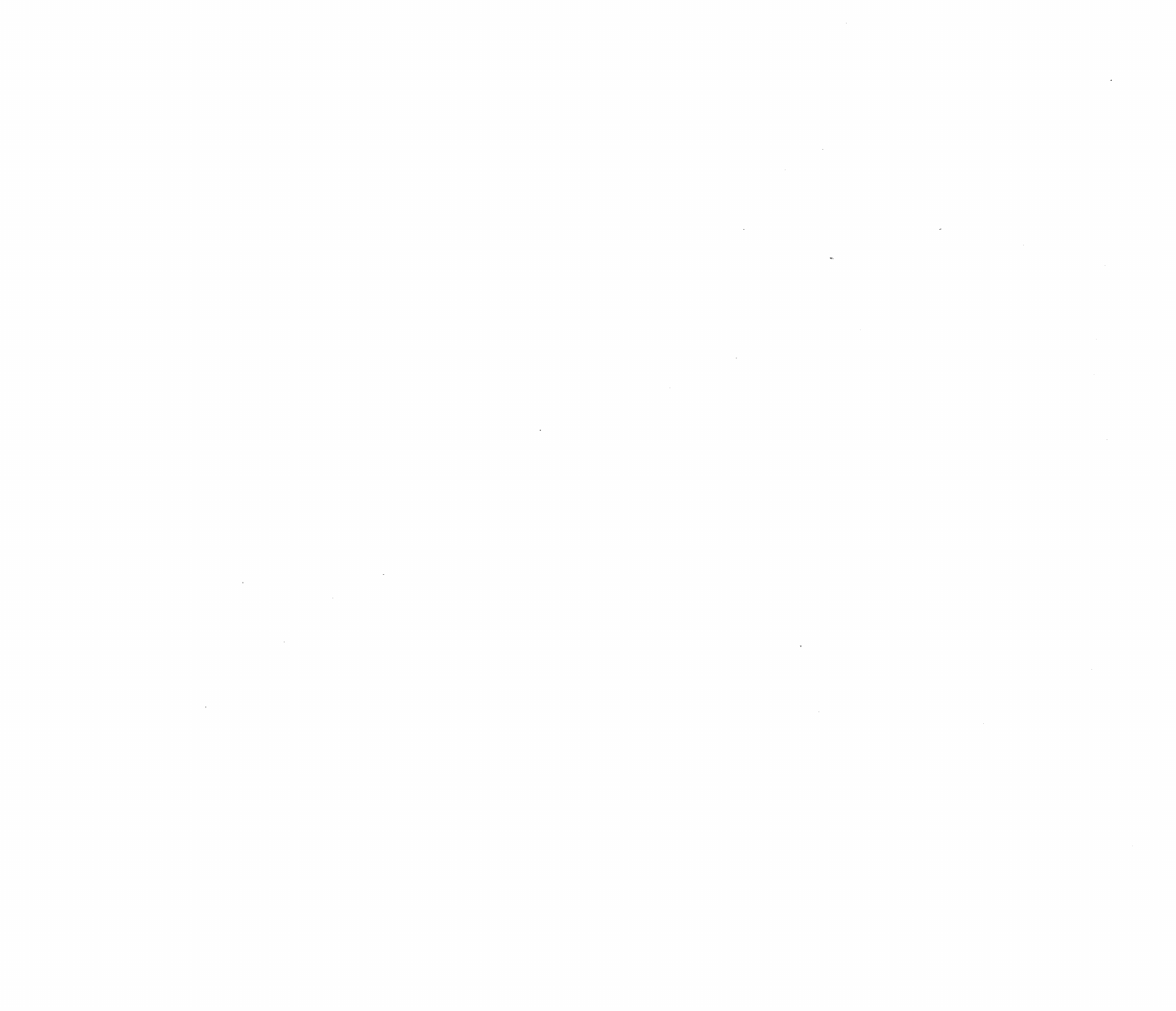$\sim 10^{-1}$ 

 $\label{eq:2.1} \frac{1}{\sqrt{2\pi}}\int_{\mathbb{R}^3}\frac{1}{\sqrt{2\pi}}\int_{\mathbb{R}^3}\frac{1}{\sqrt{2\pi}}\int_{\mathbb{R}^3}\frac{1}{\sqrt{2\pi}}\int_{\mathbb{R}^3}\frac{1}{\sqrt{2\pi}}\int_{\mathbb{R}^3}\frac{1}{\sqrt{2\pi}}\int_{\mathbb{R}^3}\frac{1}{\sqrt{2\pi}}\int_{\mathbb{R}^3}\frac{1}{\sqrt{2\pi}}\int_{\mathbb{R}^3}\frac{1}{\sqrt{2\pi}}\int_{\mathbb{R}^3}\frac{1$  $\label{eq:2.1} \frac{1}{\sqrt{2}}\sum_{i=1}^n\frac{1}{\sqrt{2}}\sum_{i=1}^n\frac{1}{\sqrt{2}}\sum_{i=1}^n\frac{1}{\sqrt{2}}\sum_{i=1}^n\frac{1}{\sqrt{2}}\sum_{i=1}^n\frac{1}{\sqrt{2}}\sum_{i=1}^n\frac{1}{\sqrt{2}}\sum_{i=1}^n\frac{1}{\sqrt{2}}\sum_{i=1}^n\frac{1}{\sqrt{2}}\sum_{i=1}^n\frac{1}{\sqrt{2}}\sum_{i=1}^n\frac{1}{\sqrt{2}}\sum_{i=1}^n\frac$ 

 $\label{eq:2.1} \frac{1}{2} \int_{\mathbb{R}^3} \frac{1}{\sqrt{2}} \left( \frac{1}{2} \int_{\mathbb{R}^3} \frac{1}{\sqrt{2}} \left( \frac{1}{2} \int_{\mathbb{R}^3} \frac{1}{\sqrt{2}} \right) \frac{1}{\sqrt{2}} \right) \, d\mathcal{H}^3 \, d\mathcal{H}^3 \, d\mathcal{H}^3 \, d\mathcal{H}^3 \, d\mathcal{H}^3 \, d\mathcal{H}^3 \, d\mathcal{H}^3 \, d\mathcal{H}^3 \, d\mathcal{H}^3 \, d$ 

 $\label{eq:2.1} \mathcal{L}(\mathcal{L}^{\mathcal{L}}_{\mathcal{L}}(\mathcal{L}^{\mathcal{L}}_{\mathcal{L}})) = \mathcal{L}(\mathcal{L}^{\mathcal{L}}_{\mathcal{L}}(\mathcal{L}^{\mathcal{L}}_{\mathcal{L}})) = \mathcal{L}(\mathcal{L}^{\mathcal{L}}_{\mathcal{L}}(\mathcal{L}^{\mathcal{L}}_{\mathcal{L}}))$  $\mathcal{L}(\mathcal{L})$  and  $\mathcal{L}(\mathcal{L})$  are the set of the set of the set of the set of the set of the set of the set of the set of the set of the set of the set of the set of the set of the set of the set of the set of the set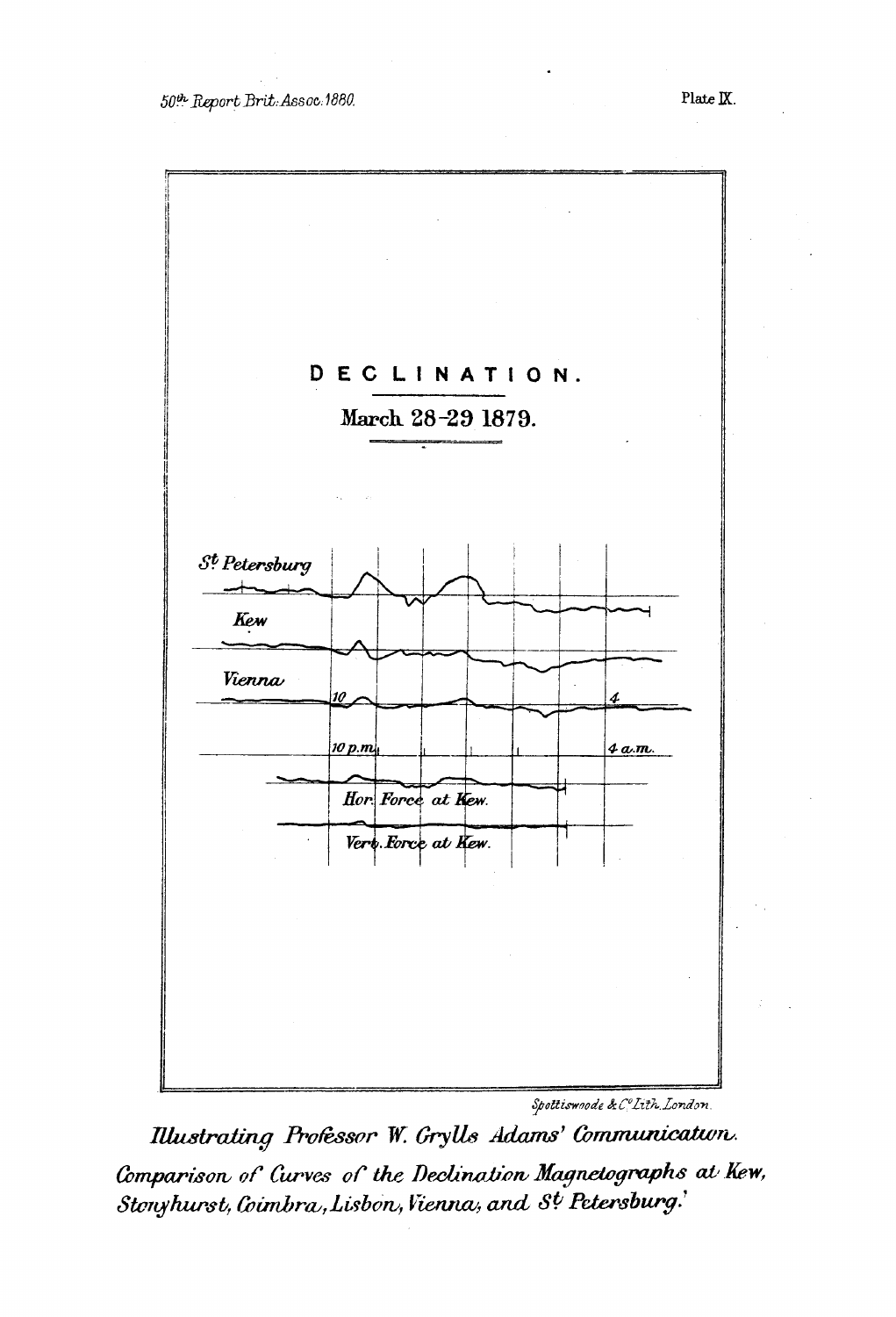

Spottiswoode & CoLith London.

Illustrating Professor W. Grylls Adams' Communicatun. Comparison of Curves of the Declination Magnetographs at Kew, Stenyhurst, Coimbra, Lisbon, Vienna, and St Petersburg.'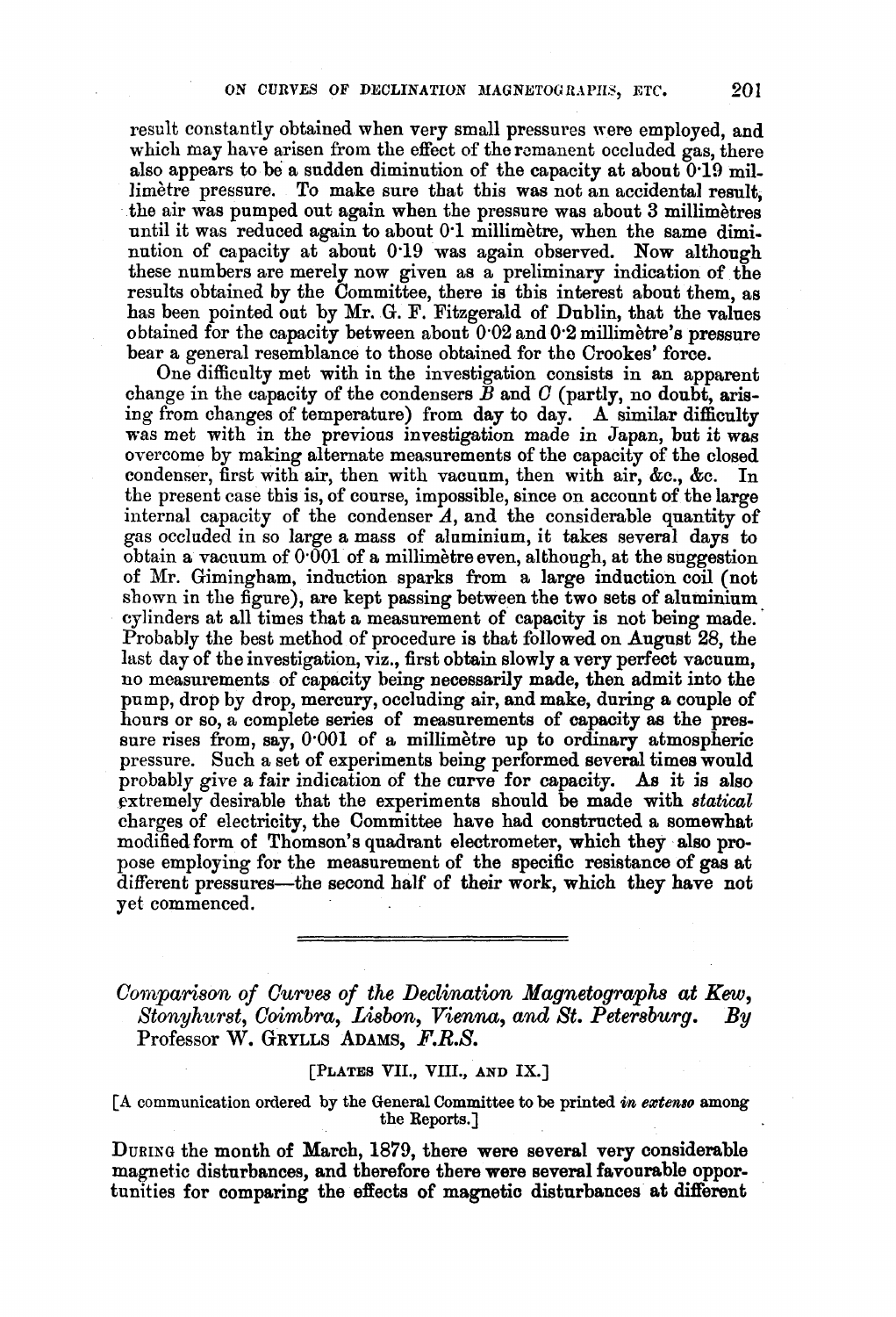result constantly obtained when very small pressures were employed, and which may have arisen from the effect of the remanent occluded gas, there also appears to be a sudden diminution of the capacity at about  $0.19$  mil. limetre pressure. To make sure that this was not an accidental result, the air was pumped out again when the pressure was about 3 millimetres until it was reduced again to about 0.1 millimetre, when the same diminution of capacity at about 0'19 was again observed. Now although these numbers are merely now given as a preliminary indication of the results obtained by the Committee, there is this interest about them, as has been pointed out by Mr. G. F. Fitzgerald of Dublin, that the values obtained for the capacity between about  $0.02$  and  $0.2$  millimetre's pressure bear a general resemblance to those obtained for the Crookes' force.

One difficulty met with in the investigation consists in an apparent change in the capacity of the condensers  $\tilde{B}$  and  $C$  (partly, no doubt, arising from changes of temperature) from day to day. A similar difficulty was met with in the previous investigation made in Japan, but it was overcome by making alternate measurements of the capacity of the closed condenser, first with air, then with vacuum, then with air, &c., &c. In the present case this is, of course, impossible, since on account of the large internal capacity of the condenser  $A$ , and the considerable quantity of gas occluded in so large a mass of aluminium, it takes several days to obtain a vacuum of  $0.001$  of a millimetre even, although, at the suggestion of Mr. Gimingham, induction sparks from a large induction coil (not shown in the figure), are kept passing between the two sets of aluminium cylinders at all times that a measurement of capacity is not being made. Probably the best method of procedure is that followed on August 28, the last day of the investigation, viz., first obtain slowly a very perfect vacuum, no measurements of capacity being necessarily made, then admit into the pump, drop by drop, mercury, occluding air, and make, during a couple of hours or so, a complete series of measurements of capacity as the pressure rises from, say, 0.001 of a millimetre up to ordinary atmospheric pressure. Such a set of experiments being performed several times would probably give a fair indication of the curve for capacity. As it is also ~xtremely desirable that the experiments should be made with *statical*  charges of electricity, the Committee have had constructed a somewhat modified form of Thomson's quadrant electrometer, which they also propose employing for the measurement of the specific resistance of gas at different pressures-the second half of their work, which they have not yet commenced.

*Comparison of Curves of the Declination Magnetographs at Kew,* Stonyhurst, *Coimbra, Lisbon, Vienna, and St. Petersburg. By* Professor W. GRYLLS ADAMS, F.R.S.

### [PLATES VII., VIII., AND IX.]

[A communication ordered by the General Committee to be printed *in extense* among the Reports.]

DURING the month of March, 1879, there were several very considerable magnetic disturbances, and therefore there were several favourable opportunities for comparing the effects of magnetic disturbances at different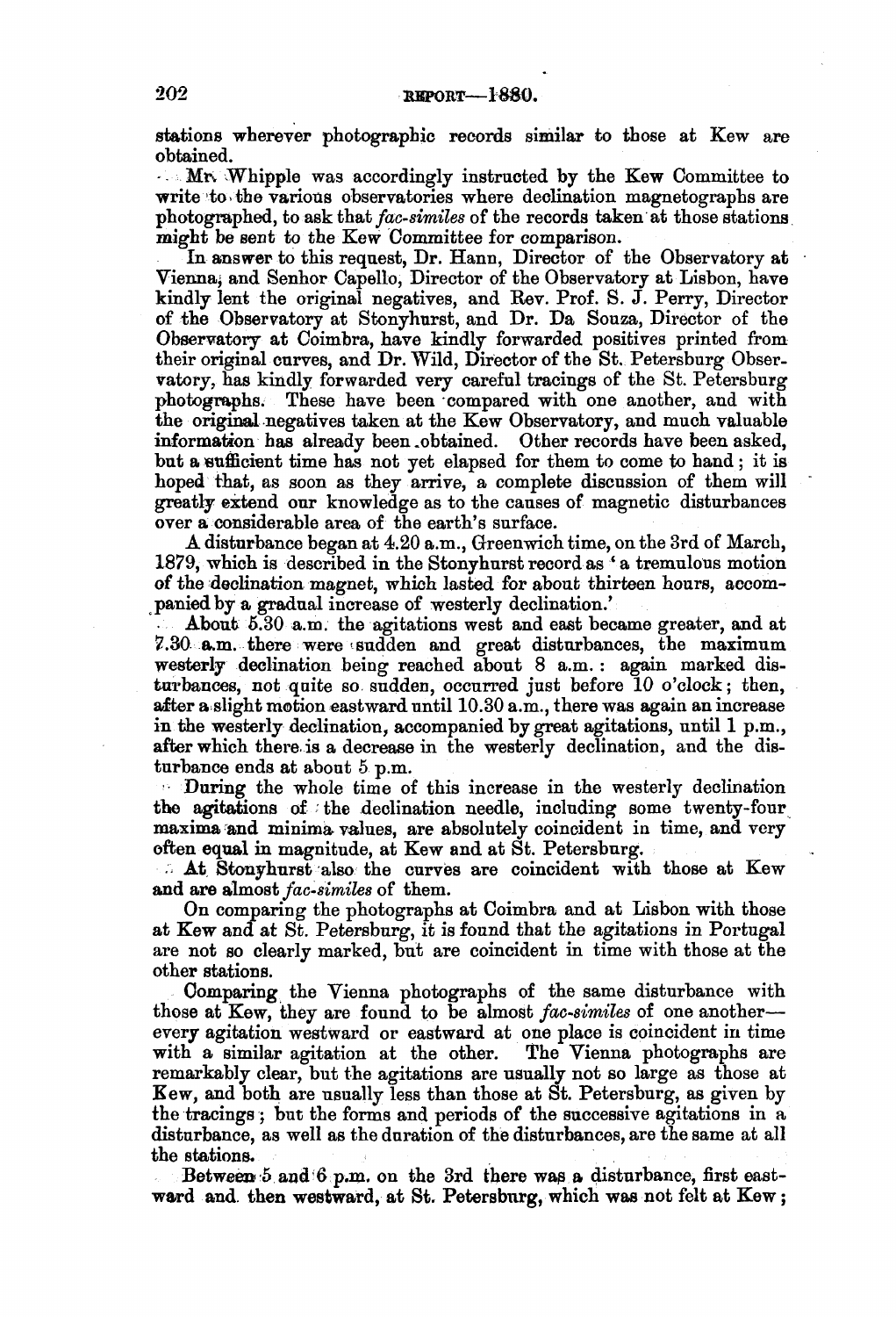stations wherever photographic records similar to those at Kew are Dbtained.

 $\ldots$  Mr. Whipple was accordingly instructed by the Kew Committee to. write to the various observatories where declination magnetographs are photographed, to ask that *fac-similes* of the records taken at those stations. might be sent to the Kew Committee for comparison.

In answer to this request, Dr. Hann, Director of the Observatory at Vienna, and Senhor Capello. Director of the Observatory at Lisbon, have kindly lent the original negatives, and Rev. Prof. S. J. Perry, Director of the Observatory at Stonyhurst, and Dr. Da Souza, Director of the Observatory at Coimbra, have kindly forwarded positives printed from their original curves, and Dr. Wild, Director of the St. Petersburg Observatory, has kindly forwarded very careful tracings of the St. Petersburg photographs. These have been compared with one another, and with the original negatives taken at the Kew Observatory, and much valuable information has already been obtained. Other records have been asked, but a sufficient time has not yet elapsed for them to come to hand; it is hoped that, as soon as they arrive, a complete discussion of them will greatly extend our knowledge as to the causes of magnetic disturbances over a considerable area of the earth's surface.

 $\Delta$  disturbance began at  $4.20$  a.m., Greenwich time, on the 3rd of March, 1879, which is described in the Stonyhurst record as 'a tremulous motion of the declination magnet, which lasted for about thirteen hours, accom-<br>panied by a gradual increase of westerly declination.

About  $5.30$  a.m. the agitations west and east became greater, and at  $7.30$  a.m. there were sudden and great disturbances, the maximum westerly declination being reached about 8 a.m.: again marked disturbances, not quite so sudden, occurred just before  $10$  o'clock; then, after a slight motion eastward until  $10.30$  a.m., there was again an increase in the westerly declination, accompanied by great agitations, until  $1 \text{ p.m.}$ , after which there is a decrease in the westerly declination, and the disturbance ends at about  $5$  p.m.

**During** the whole time of this increase in the westerly declination the agitations of the declination needle, including some twenty-four. maxima and minima values, are absolutely coincident in time, and very often equal in magnitude, at Kew and at St. Petersburg.

 $\therefore$  At Stonyhurst also the curves are coincident with those at Kew and are almost fac-similes of them.

On comparing the photographs at Coimbra and at Lisbon with those at Kew and at  $S_t$ . Petersburg, it is found that the agitations in Portugal are not so clearly marked, but are coincident in time with those at the other stations.

Comparing the Vienna photographs of the same disturbance with those at Kew, they are found to be almost *fac-similes* of one another-every agitation westward or eastward at one place is coincident in time with a similar agitation at the other. The Vienna photographs are with a similar agitation at the other. remarkably clear, but the agitations are usually not so large as those at Kew, and both are usually less than those at St. Petersburg, as given by the tracings; but the forms and periods of the successive agitations in a disturbance, as well as the duration of the disturbances, are the same at all the stations.

Between 5 and  $6$  p.m. on the 3rd there was a disturbance, first eastward and then westward, at St. Petersburg, which was not felt at Kew;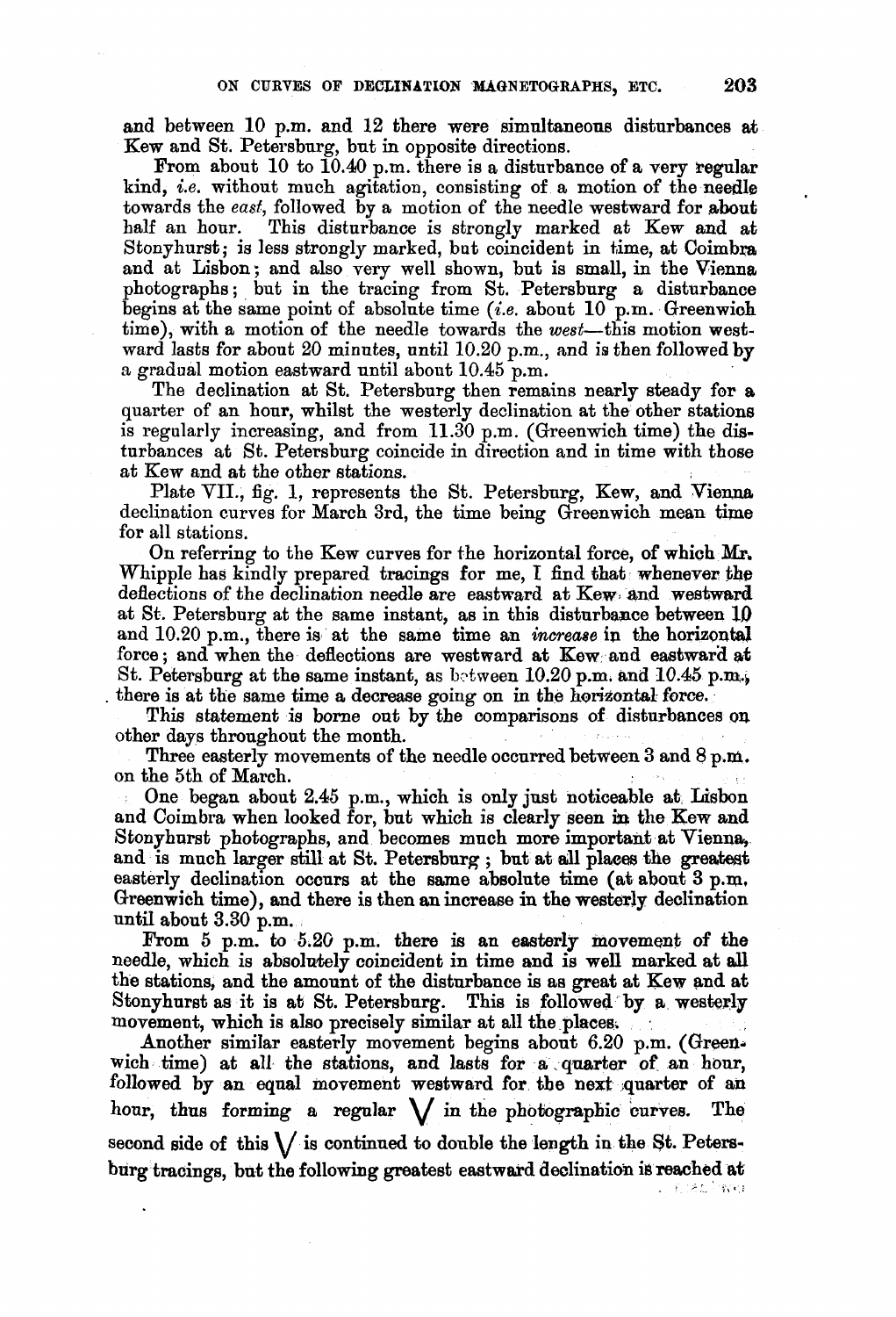and between 10 p.m. and 12 there were simultaneous disturbances at Kew and St. Petersburg, but in opposite directions.

From about 10 to  $10.40$  p.m. there is a disturbance of a very regular kind, *i.e.* without much agitation, consisting of a motion of the needle towards the *east*, followed by a motion of the needle westward for about<br>half an hour. This disturbance is strongly marked at Kew and at This disturbance is strongly marked at Kew and at Stonyhurst; is less strongly marked, but coincident in time, at Coimbra. and at Lisbon; and also very well shown, but is small, in the Vienna photographs; but in the tracing from St. Petersburg a disturbance begins at the same point of absolute time *(i.e.* about 10 p.m. Greenwich time), with a motion of the needle towards the *west-this* motion westward lasts for about 20 minutes, until 10.20 p.m., and is then followed by a gradual motion eastward until about 10.45 p.m. .

The declination at St. Petersburg then remains nearly steady for a quarter of an hour, whilst the westerly declination at the other stations is regularly increasing, and from 11.30 p.m. (Greenwich time) the disturbances at St. Petersburg coincide in direction and in time with those at Kew and at the other stations.

Plate VII., fig. 1, represents the St. Petersburg, Kew, and Vienna. declination curves for March 3rd, the time being Greenwich mean time for all stations.

On referring to the Kew curves for the horizontal force, of which Mr. Whipple has kindly prepared tracings for me, I find that whenever the deflections of the declination needle are eastward at Kew, and westward at St. Petersburg at the same instant, as in this disturbance between  $10$ and 10.20 p.m., there is at the same time an *increase* in the horizontal force; and when the deflections are westward at  $Kew$  and eastward at St. Petersburg at the same instant, as between  $10.20$  p.m. and  $10.45$  p.m.

there is at the same time a decrease going on in the horizontal force.<br>This statement is borne out by the comparisons of disturbances on other days throughout the month.

Three easterly movements of the needle occurred between 3 and 8 p.m. on the 5th of March.

One began about 2.45 p.m., which is only just noticeable at, Lisbon and Coimbra when looked for, but which is clearly seen in the Kew and Stonyhurst photographs, and becomes much more important at Vienna. and is much larger still at St. Petersburg; but at all places the greatest easterly declination occurs at the same absolute time (at about 3 p.m. Greenwich time), and there is then an increase in the westerly declination until about 3.30 p.m.

From 5 p.m. to 5.20 p.m. there is an easterly movement of the needle, which is absolutely coincident in time and is well marked at all the stations, and the amount of the disturbance is as great at Kew and at Stonyhurst as it is at St. Petersburg. This is followed by a westerly movement, which is also precisely similar at all the places.

Another similar easterly movement begins about 6.20 p.m. (Greenwich time) at all the stations, and lasts for a quarter of an hour, followed by an equal movement westward for the next quarter of an hour, thus forming a regular  $\bigvee$  in the photographic curves. The second side of this  $\setminus$  is continued to double the length in the St. Petersburg tracings, but the following greatest eastward declination is reached at I ;;.. ,',. '1\ *<sup>c</sup>*'. ~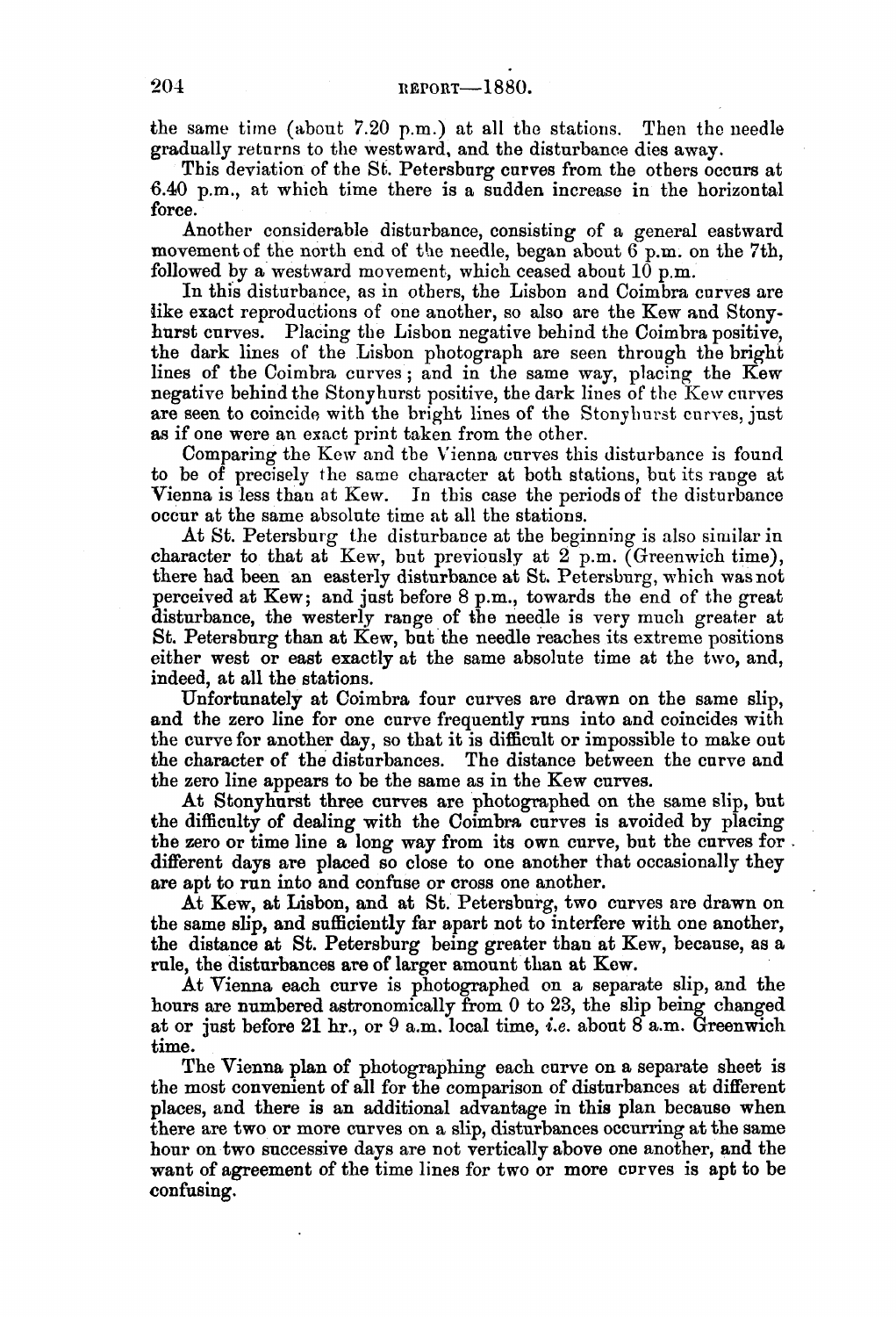the same time (about  $7.20$  p.m.) at all the stations. Then the needle gradually returns to the westward, and the disturbance dies away.

This deviation of the St. Petersburg curves from the others occurs at -6.40 p.m., at which time there is a sudden increase in the horizontal force.

Another considerable disturbance, consisting of a general eastward movement of the north end of the needle, began about  $6$  p.m. on the 7th, followed by a westward movement, which ceased about  $10$  p.m.

In this disturbance, as in others, the Lisbon and Coimbra curves are like exact reproductions of one another, so also are the Kew and Stonyhurst curves. Placing the Lisbon negative behind the Coimbra positive, the dark lines of the Lisbon photograph are seen through the bright lines of the Coimbra curves; and in the same way, placing the Kew negative behind the Stony hurst positive, the dark lines of the Kew cnrves are seen to coincide with the bright lines of the Stonyhurst curves, just as if one were an exact print taken from the other.

Comparing the Kew and the Vienna curves this disturbance is founa to be of precisely the same character at both stations, but its range at Vienna is less than at Kew. In this case the periods of the disturbance In this case the periods of the disturbance occur at the same absolute time at all the stations.

At St. Petersburg the disturbance at the beginning is also similar in character to that at Kew, but previously at  $2$  p.m. (Greenwich time), there had been an easterly disturbance at St. Petersburg, which was not perceived at Kew; and just before 8 p.m., towards the end of the great disturbance, the westerly range of the needle is very much greater at St. Petersburg than at Kew, but the needle reaches its extreme positions either west or east exactly at the same absolute time at the two, and, indeed, at all the stations.

Unfortunately at Coimbra four curves are drawn on the same slip, and the zero line for one curve frequently mns into and coincides with the curve for another day, so that it is difficult or impossible to make out the character of the disturbances. The distance between the curve and the zero line appears to be the same as in the Kew curves.

At Stonyhurst three curves are photographed on the same slip, but the difficulty of dealing with the Coimbra curves is avoided by placing the zero or time line a long way from its own curve, but the curves for. different days are placed so close to one another that occasionally they are apt to mn into and confuse or cross one another.

At Kew, at Lisbon, and at St. Petersburg, two curves are drawn on the same slip, and sufficiently far apart not to interfere with one another, the distance at St. Petersburg being greater than at Kew, because, as a rule, the disturbances are of larger amount than at Kew.

At Vienna each curve is photographed on a separate slip, and the hours are numbered astronomically from 0 to 23, the slip being changed at or just before 21 hr., or 9 a.m. local time, *i.e.* about 8 a.m. Greenwich time.

The Vienna plan of photographing each curve on a separate sheet is the most convenient of all for the comparison of disturbances at different places, and there is an additional advantage in this plan because when there are two or more curves on a slip, disturbances occurring at the same hour on two successive days are not vertically above one another, and the want of agreement of the time lines for two or more curves is apt to be confusing.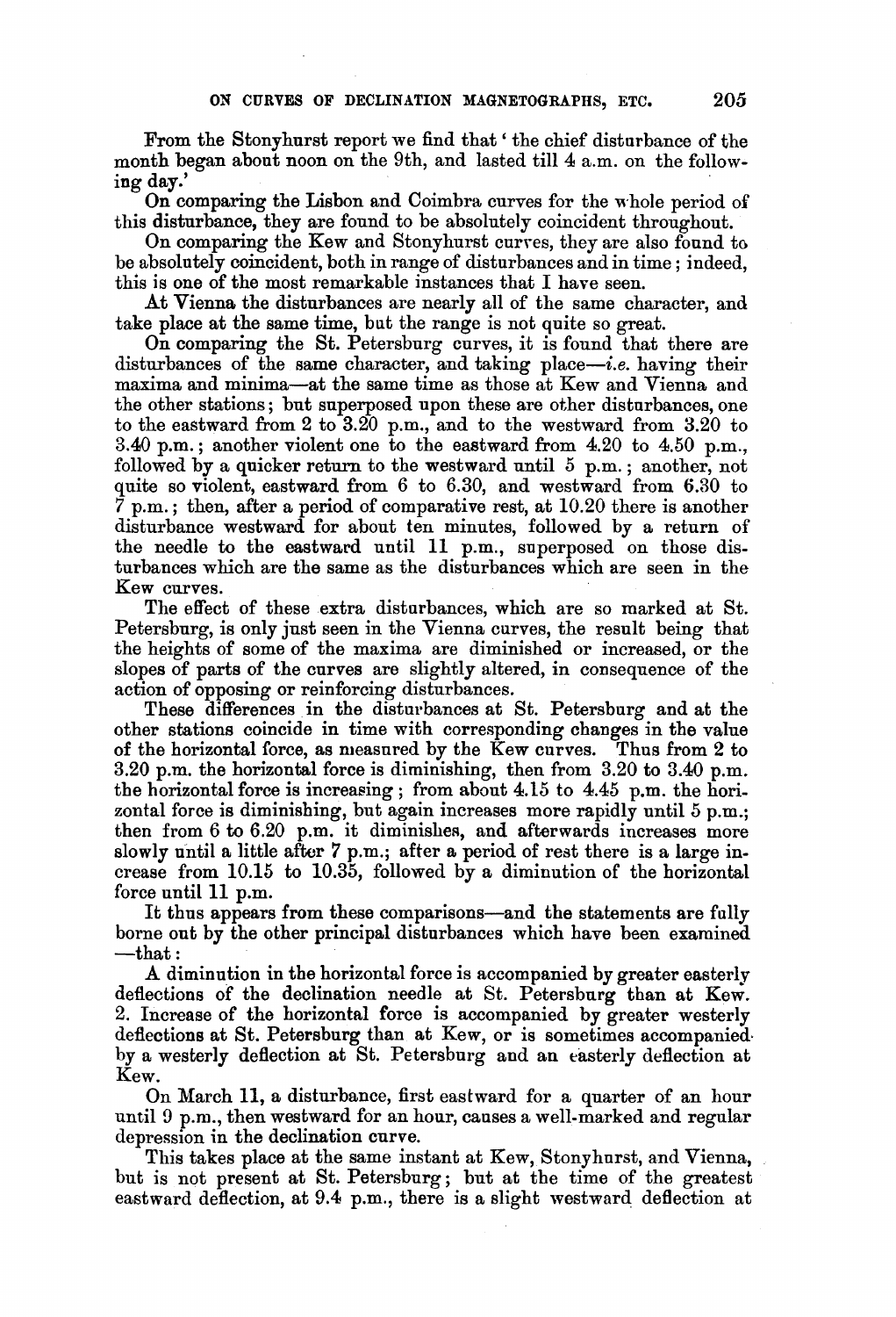From the Stonyhurst report we find that' the chief disturbance of the month began about noon on the 9th, and lasted till 4 a.m. on the follow-<br>ing day.'  $\log d$ ay.'  $\log d$  and  $\log d$  and  $\log d$  and  $\log d$  and  $\log d$  and  $\log d$  and  $\log d$  and  $\log d$  and  $\log d$  and  $\log d$  and  $\log d$  and  $\log d$  and  $\log d$  and  $\log d$  and  $\log d$  and  $\log d$  and  $\log d$  and  $\log d$  and  $\log d$  and  $\log d$  and  $\log d$  and

On comparing the Lisbon and Coimbra curves for the whole period of this disturbance, they are found to be absolutely coincident throughout.

On comparing the Kew and Stonyhurst curves, they are also found to be absolutely coincident, both in range of disturbances and in time; indeed, this is one of the most remarkable instances that I have seen.

At Vienna the disturbances are nearly all of the same character, and take place at the same time, but the range is not quite so great.

On comparing the St. Petersburg curves, it is found that there are disturbances of the same character, and taking place—*i.e.* having their maxima and minima-at the same time as those at Kew and Vienna and the other stations; but superposed upon these are other disturbances, one to the eastward from 2 to 3.20 p.m., and to the westward from 3.20 to 3.40 p.m.; another violent one to the eastward from  $4.20$  to  $4.50$  p.m., followed by a quicker return to the westward until 5 p.m.; another, not quite so violent, eastward from 6 to 6.30, and westward from 6.30 to  $\bar{7}$  p.m.; then, after a period of comparative rest, at 10.20 there is another disturbance westward for about ten minutes, followed by a return of the needle to the eastward until 11 p.m., superposed on those disturbances which are the same as the disturbances which are seen in the Kew curves.

The effect of these extra disturbances, which are so marked at St. Petersburg, is only just seen in the Vienna curves, the result being that the heights of some of the maxima are diminished or increased, or the slopes of parts of the curves are slightly altered, in consequence of the action of opposing or reinforcing disturbances.

These differences in the disturbances at St. Petersburg and at the other stations coincide in time with corresponding changes in the value of the horizontal force, as measured by the Kew curves. Thus from 2 to 3.20 p.m. the horizontal force is diminishing, then from 3.20 to 3.40 p.m. the horizontal force is increasing; from about 4.15 to 4.45 p.m. the horizontal force is diminishing, but again increases more rapidly until 5 p.m.; then from  $6$  to  $6.20$  p.m. it diminishes, and afterwards increases more slowly until a little after 7 p.m.; after a period of rest there is a large increase from 10.15 to 10.35, followed by a diminution of the horizontal force until 11 p.m.

It thus appears from these comparisons—and the statements are fully borne out by the other principal disturbances which have been examined  $-\text{that}:$ 

A diminution in the horizontal force is accompanied by greater easterly deflections of the declination needle at St. Petersburg than at Kew. 2. Increase of the horizontal force is accompanied by greater westerly deflections at St. Petersburg than at Kew, or is sometimes accompanied· by a westerly deflection at St. Petersburg and an easterly deflection at Kew.

On March 11, a disturbance, first eastward for a quarter of an hour until 9 p.m., then westward for an hour, causes a well-marked and regular depression in the declination curve.

This takes place at the same instant at Kew, Stonyhurst, and Vienna, but is not present at St. Petersburg; but at the time of the greatest eastward deflection, at 9.4 p.m., there is a slight westward deflection at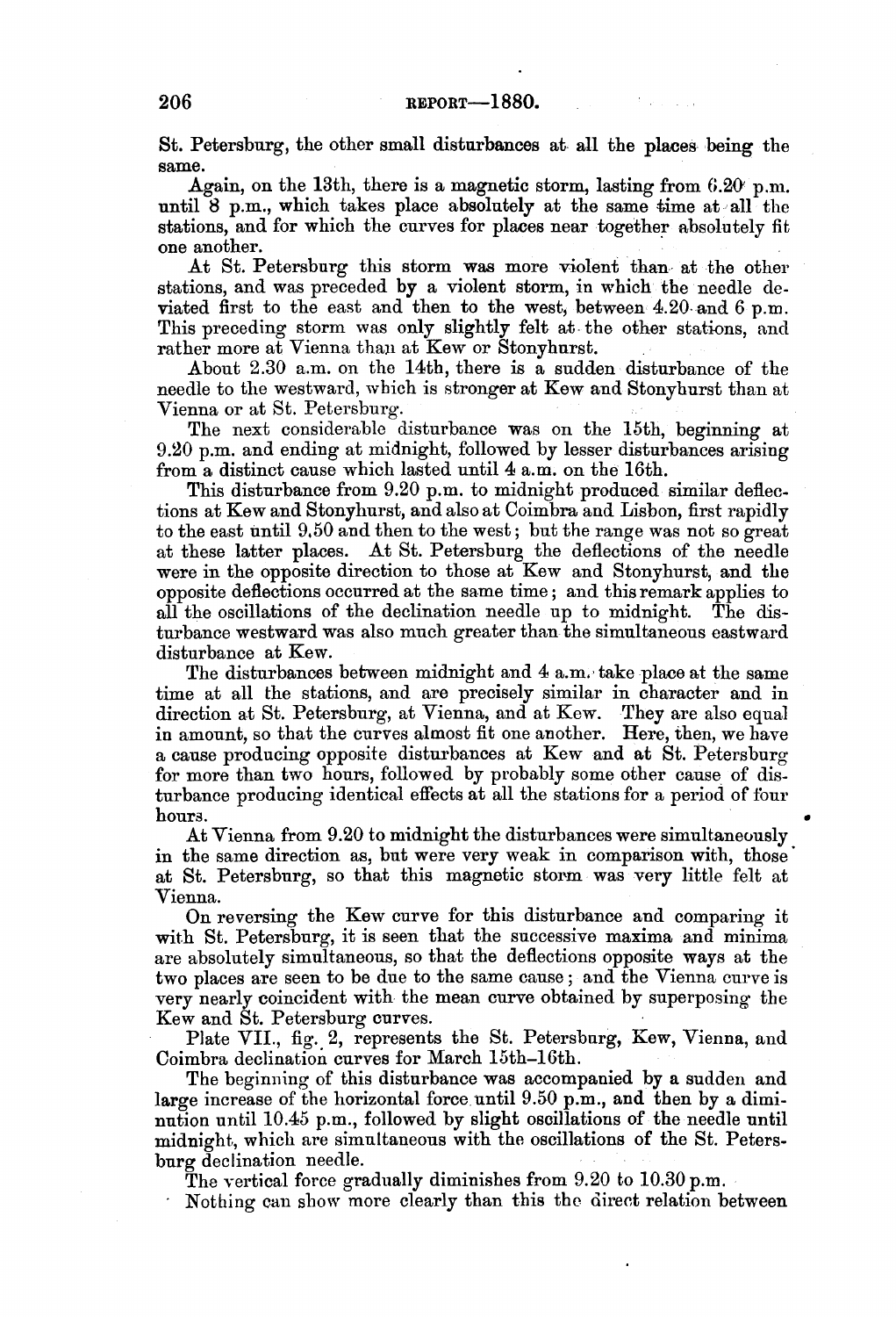St. Petersburg, the other small disturbances at all the places being the same.

Again, on the 13th, there is a magnetic storm, lasting from  $6.20^{\circ}$  p.m. until  $\delta$  p.m., which takes place absolutely at the same time at all the stations, and for which the curves for places near together absolutely fit one another.

At St. Petersburg this storm was more violent than· at the other stations, and was preceded by a violent storm, in which the needle de. viated first to the east and then to the west, between 4.20-and 6 p.m. This preceding storm was only slightly felt at the other stations, and rather more at Vienna than at Kew or Stonyhurst.

About 2.30 a.m. on the 14th, there is a sudden disturbance of the needle to the westward, which is stronger at Rew and Stonyhurst than at Vienna or at St. Petersburg.

The next considerable disturbance was on the 15th, beginning at 9.20 p.m. and ending at midnight, followed by lesser disturbances arising from a distinct cause which lasted until 4 a.m. on the 16th.

This disturbance from 9.20 p.m. to midnight produced similar deflections at Kew and Stonyhurst, and also at Coimbra and Lisbon, first rapidly to the east until 9.50 and then to the west; but the range was not so great at these latter places. At St. Petersburg the deflections of the needle were in the opposite direction to those at Kew and Stonyhurst, and the opposite deflections occurred at the same time; and this remark applies to all the oscillations of the declination needle up to midnight. The disturbance westward was also much greater than the simultaneous eastward disturbance at Kew.

The disturbances between midnight and 4 a.m.' take place at the same time at all the stations, and are precisely similar in character and in direction at St. Petersburg, at Vienna, and at Kew. They are also equal in amount, so that the curves almost fit one another. Here, then, we have a cause producing opposite disturbances at Kew and at St. Petersburg for more than two hours, followed by probably some other cause of dis. turbance producing identical effects at all the stations for a period of four hours. The contract of the contract of the contract of the contract of the contract of the contract of the contract of the contract of the contract of the contract of the contract of the contract of the contract of the con

At Vienna from 9.20 to midnight the disturbances were simultaneously in the same direction as, but were very weak in comparison with, those' at St. Petersburg, so that this magnetic storm was very little felt at Vienna.

•

On reversing the Kew curve for this disturbance aud comparing it with St. Petersburg, it is seen that the successive maxima and minima are absolutely simultaneous, so that the deflections opposite ways at the two places are seen to be due to the same cause; and the Vienna curve is very nearly coincident with the mean curve obtained by superposing' the Kew and St. Petersburg curves.

Plate VII., fig. 2, represents the St. Petersburg, Kew, Vienna, and Coimbra declination curves for March 15th-16th.

The beginning of this disturbance was accompanied by a sudden and large increase of the horizontal force. until 9.50 p.m., and then by a diminution until 10.45 p.m., followed by slight osoillations of the needle until midnight, which are simultaneous with the oscillations of the St. Petersburg declination needle.

The vertical force gradually diminishes from 9.20 to 10.30 p.m.

. Nothing can show more clearly than this the direct relation between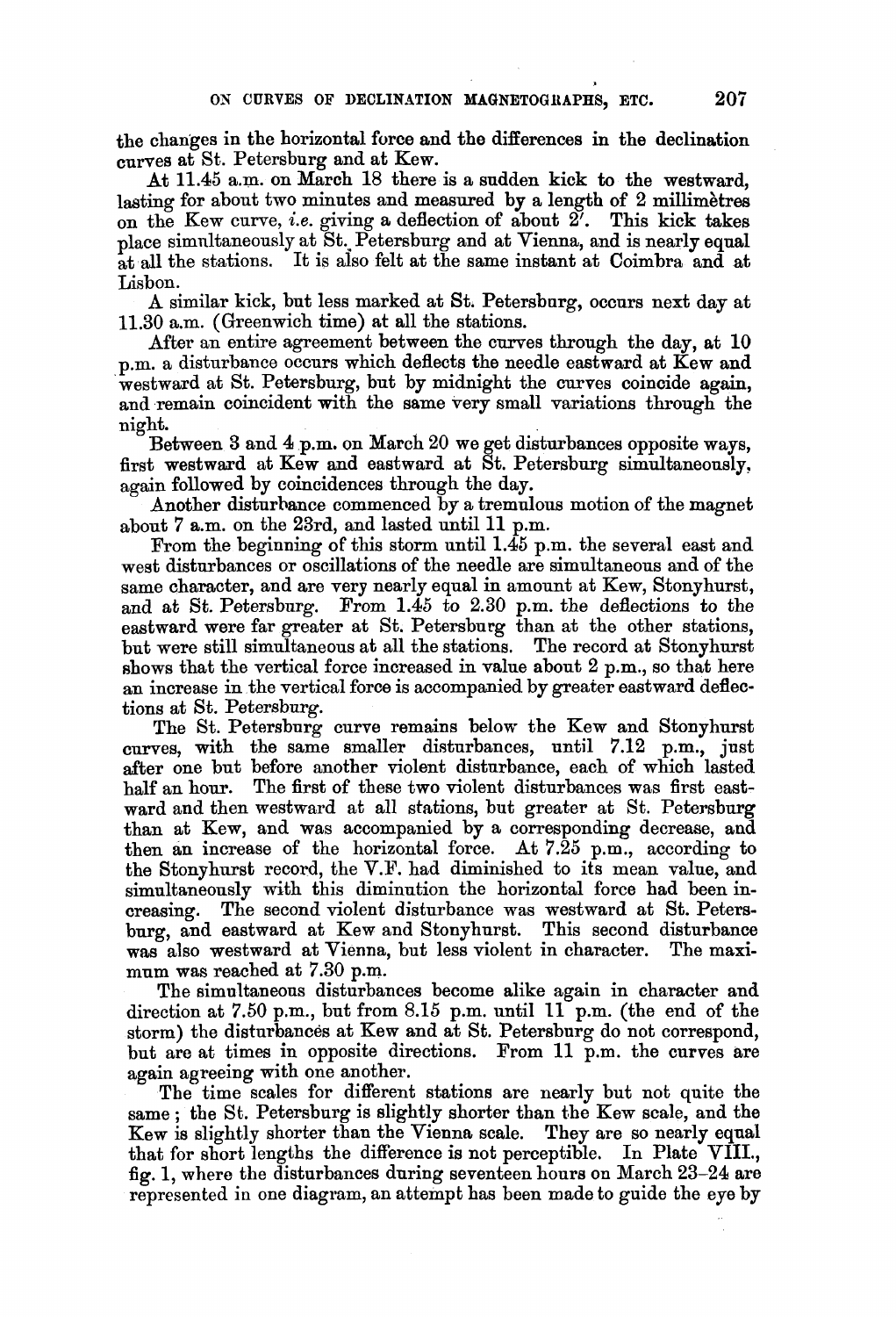the chan'ges in the horizontal force and the differences in the declination curves at St. Petersburg and at Kew.

At  $11.45$  a.m. on March 18 there is a sudden kick to the westward, lasting for about two minutes and measured by a length of 2 millimetres on the Kew curve, *i.e.* giving a deflection of about  $2^{\gamma}$ . This kick takes place simultaneously at St. Petersburg and at Vienna, and is nearly equal at all the stations. It is also felt at the same instant at Coimbra and at Lisbon.

A similar kick, but less marked at St. Petersburg, occurs next day at 11.30 a.m. (Greenwich time) at all the stations.

After an entire agreement between the curves through the day, at 10 p.m. a disturbance occurs which deflects the needle eastward at Kew and 'westward at St. Petersburg, but by midnight the curves coincide again, and remain coincident with the same very small variations through the night. effection of about 2'. Then<br>burg and at Vienna, and<br>at the same instant at Co<br>d at St. Petersburg, occu<br>l the stations.<br>ween the curves through<br>leflects the needle eastwa:<br>by midnight the curves of<br>ame very small variation

Between 3 and 4 p.m. on March 20 we get disturbances opposite ways, first westward at Kew and eastward at St. Petersburg simultaneously, again followed by coincidences through the day.

Another disturbance commenced by a tremulous motion of the magnet about 7 a.m. on the 23rd, and lasted until 11 p.m.

From the beginning of this storm until 1.45 p.m. the several east and west disturbances or oscillations of the needle are simultaneous and of the same character, and are very nearly equal in amount at Kew, Stonyhurst, and at St. Petersburg. From 1.45 to 2.30 p.m. the deflections to the eastward were far greater at St. Petersburg than at the other stations, but were still simultaneous at all the stations. The record at Stonyhurst shows that the vertical force increased in value about 2 p.m., so that here an increase in the vertical force is accompanied by greater eastward deflections at St. Petersburg.

The St. Petersburg curve remains below the Kew and Stonyhurst curves, with the same smaller disturbances, until 7.12 p.m., just after one but before another violent disturbance, each of which lasted half an hour. The first of these two violent disturbances was first eastward and then westward at all stations, but greater at St. Petersburg than at Kew, and was accompanied by a corresponding decrease, and then an increase of the horizontal force. At 7.25 p.m., according to the Stonyhurst record, the  $V.F.$  had diminished to its mean value, and simultaneously with this diminution the horizontal force had been increasing. The second violent disturbance was westward at St. Petersburg, and eastward at Kewand Stonyhurst. This second disturbance was also westward at Vienna, but less violent in character. The maximum was reached at 7.30 p.m.

The simultaneous disturbances become alike again in character and direction at 7.50 p.m., but from 8.15 p.m. until 11 p.m. (the end of the storm) the disturbances at Kew and at St. Petersburg do not correspond, but are at times in opposite directions. From 11 p.m. the curves are again agreeing with one another.

The time scales for different stations are nearly but not quite the same; the St. Petersburg is slightly shorter than the Kew scale, and the Kew is slightly shorter than the Vienna scale. They are so nearly equal that for short lengths the difference is not perceptible. In Plate VIII., fig. 1, where the disturbances during seventeen hours on March 23-24 are represented in one diagram, an attempt has been made to guide the eye by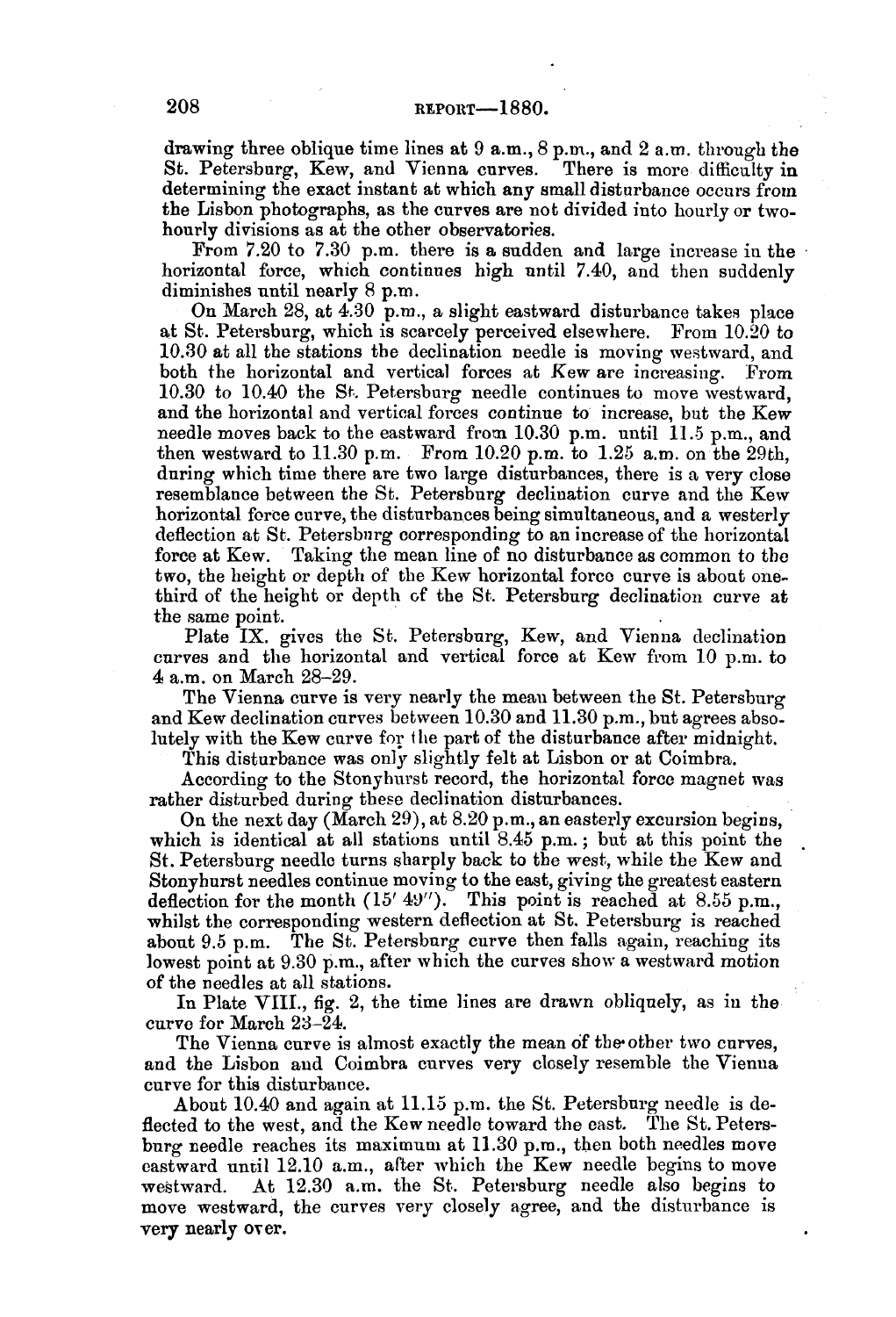drawing three oblique time lines at 9 a.m., 8 p.m., and 2 a.m. through the St. Petersburg, Kew, and Vienna cnrves. There is more difficulty in determining the exact instant at which any small disturbance occnrs from the Lisbon photographs, as the curves are not divided into hourly or twohourly divisions as at the other observatories.

From 7.20 to 7.30 p.m. there is a sudden and large increase in the horizontal force, which continues high until 7.40, and then suddenly diminishes until nearly 8 p.m.

On March  $28$ , at  $4.30$  p.m., a slight eastward disturbance takes place at St. Petersburg, which is scarcely perceived elsewhere. From 10.20 to  $10.30$  at all the stations the declination needle is moving westward, and both the horizontal and vertical forces at Keware increasing. From  $10.30$  to  $10.40$  the St. Petersburg needle continues to move westward, and the horizontal and vertical forces continue to increase, but the Kew needle moves back to the eastward from 10.30 p.m. until 11.5 p.m., and then westward to  $11.30$  p.m. From  $10.20$  p.m. to  $1.25$  a.m. on the  $29th$ . during which time there are two large disturbances, there is a very close resemblance between the St. Petersburg declination curve and the Kew horizontal force curve, the disturbances being simultaneous, and a westerly deflection at St. Petersburg corresponding to an increase of the horizontal<br>force at Kew. Taking the mean line of no disturbance as common to the Taking the mean line of no disturbance as common to the two, the height or depth of the Kew horizontal force curve is about onethird of the height or depth of the St. Petersburg declination curve at the same point.

Plate IX. gives the St. Petersburg, Kew, and Vienna declination curves and the horizontal and vertical force at Kew from 10 p.m. to 4 a.m. on March 28-29.

The Vienna curve is very nearly the meau between the St. Petersburg and Kew declination curves between 10.30 and 11.30 p.m., but agrees absolutely with the Kew curve for the part of the disturbance after midnight.

This disturbance was only slightly felt at Lisbon or at Coimbra.

According to the Stonyhurst record, the horizontal force magnet was rather disturbed during these declination disturbauces.

On the next day (March 29), at  $8.20$  p.m., an easterly excursion begins, which is identical at all stations until 8.45 p.m.; but at this point the St. Petersburg needle turns sharply back to the west, while the Kew and Stonyhurst needles continue moving to the east, giving the greatest eastern deflection for the month  $(15' 49'')$ . This point is reached at 8.55 p.m., whilst the corresponding western deflection at St. Petersburg is reached about 9.5 p.m. The St. Petersburg curve then falls again, reaching its lowest point at 9.30 p.m., after which the curves show a westward motion of the needles at all stations.

In Plate VIII., fig. 2, the time lines are drawn obliquely, as in the curve for March 23-24.

The Vienna curve is almost exactly the mean of the other two curves, and the Lisbon and Coimbra curves very closely resemble the Vienna curve for this disturbance.

About 10.40 and again at 11.15 p.m. the St. Petersburg needle is deflected to the west, and the Kew needle toward the cast. The St. Petersburg needle reaches its maximum at 11.30 p.m., then both needles move eastward until 12.10 a.m., after which the Kew needle begins to move westward. At 12.30 a.m. the St. Petersburg needle also begins to move westward, the curves very closely agree, and the disturbance is very nearly over.